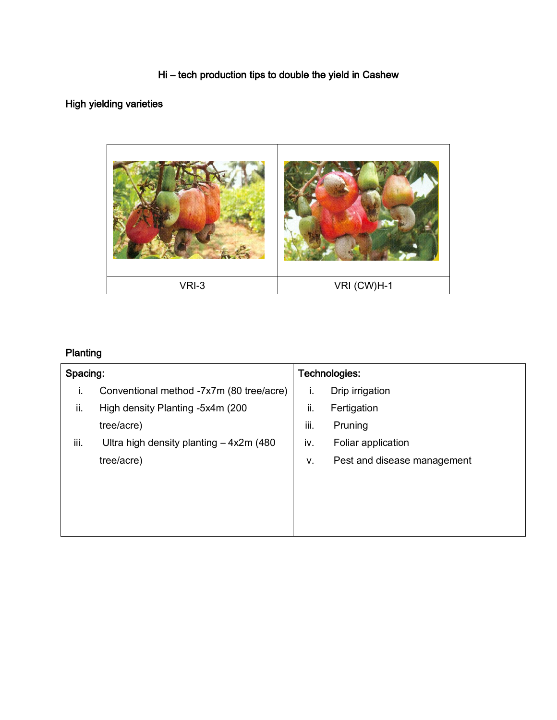### Hi – tech production tips to double the yield in Cashew

## High yielding varieties



# Planting

| Spacing: |                                          | Technologies: |                             |
|----------|------------------------------------------|---------------|-----------------------------|
| Τ.       | Conventional method -7x7m (80 tree/acre) | Ι.            | Drip irrigation             |
| ii.      | High density Planting -5x4m (200)        | ii.           | Fertigation                 |
|          | tree/acre)                               | iii.          | Pruning                     |
| iii.     | Ultra high density planting $-4x2m(480)$ | iv.           | Foliar application          |
|          | tree/acre)                               | v.            | Pest and disease management |
|          |                                          |               |                             |
|          |                                          |               |                             |
|          |                                          |               |                             |
|          |                                          |               |                             |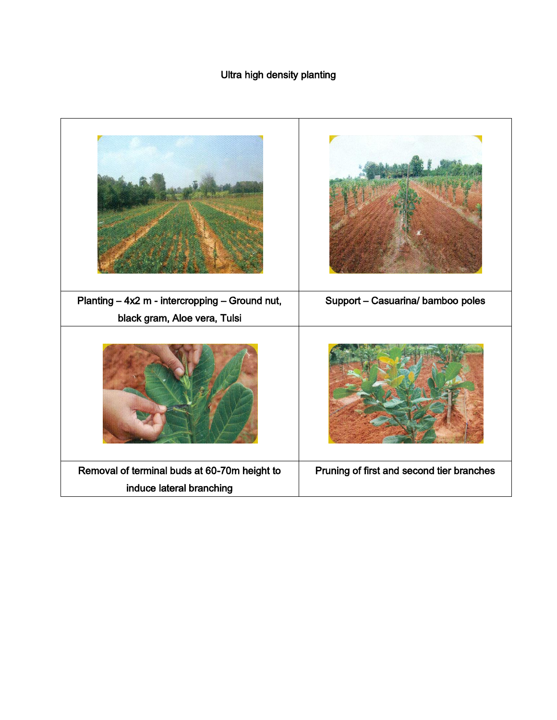## Ultra high density planting

| Planting - 4x2 m - intercropping - Ground nut, | Support - Casuarina/ bamboo poles         |
|------------------------------------------------|-------------------------------------------|
| black gram, Aloe vera, Tulsi                   |                                           |
|                                                |                                           |
| Removal of terminal buds at 60-70m height to   | Pruning of first and second tier branches |
| induce lateral branching                       |                                           |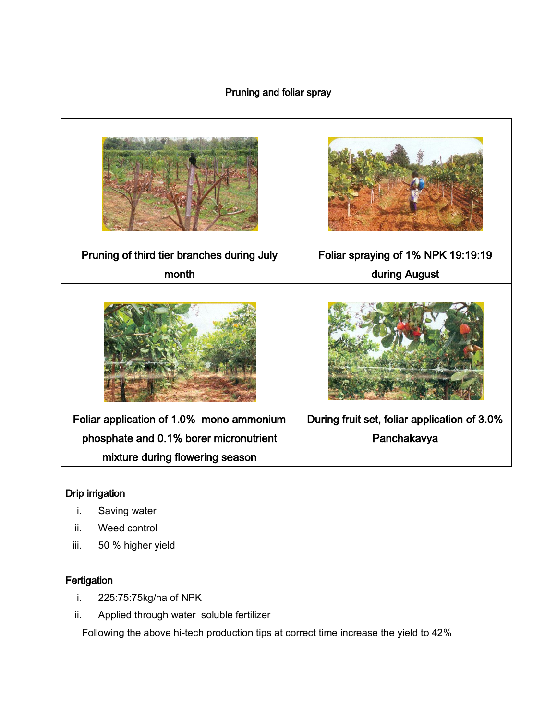### Pruning and foliar spray

| Pruning of third tier branches during July | Foliar spraying of 1% NPK 19:19:19           |
|--------------------------------------------|----------------------------------------------|
| month                                      | during August                                |
|                                            |                                              |
| Foliar application of 1.0% mono ammonium   | During fruit set, foliar application of 3.0% |
| phosphate and 0.1% borer micronutrient     | Panchakavya                                  |
| mixture during flowering season            |                                              |

#### Drip irrigation

- i. Saving water
- ii. Weed control
- iii. 50 % higher yield

#### **Fertigation**

- i. 225:75:75kg/ha of NPK
- ii. Applied through water soluble fertilizer

Following the above hi-tech production tips at correct time increase the yield to 42%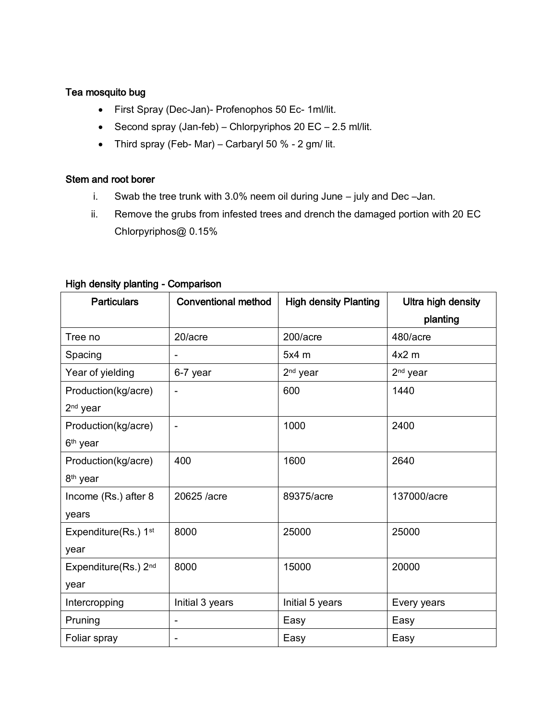#### Tea mosquito bug

- First Spray (Dec-Jan)- Profenophos 50 Ec- 1ml/lit.
- Second spray (Jan-feb) Chlorpyriphos 20 EC 2.5 ml/lit.
- Third spray (Feb- Mar) Carbaryl 50 % 2 gm/ lit.

#### Stem and root borer

- i. Swab the tree trunk with 3.0% neem oil during June july and Dec –Jan.
- ii. Remove the grubs from infested trees and drench the damaged portion with 20 EC Chlorpyriphos@ 0.15%

| <b>Particulars</b>               | <b>Conventional method</b> | <b>High density Planting</b> | Ultra high density   |
|----------------------------------|----------------------------|------------------------------|----------------------|
|                                  |                            |                              | planting             |
| Tree no                          | 20/acre                    | 200/acre                     | 480/acre             |
| Spacing                          |                            | $5x4$ m                      | $4x2$ m              |
| Year of yielding                 | 6-7 year                   | 2 <sup>nd</sup> year         | 2 <sup>nd</sup> year |
| Production(kg/acre)              |                            | 600                          | 1440                 |
| 2 <sup>nd</sup> year             |                            |                              |                      |
| Production(kg/acre)              |                            | 1000                         | 2400                 |
| 6 <sup>th</sup> year             |                            |                              |                      |
| Production(kg/acre)              | 400                        | 1600                         | 2640                 |
| 8 <sup>th</sup> year             |                            |                              |                      |
| Income (Rs.) after 8             | 20625 /acre                | 89375/acre                   | 137000/acre          |
| years                            |                            |                              |                      |
| Expenditure(Rs.) 1 <sup>st</sup> | 8000                       | 25000                        | 25000                |
| year                             |                            |                              |                      |
| Expenditure(Rs.) 2 <sup>nd</sup> | 8000                       | 15000                        | 20000                |
| year                             |                            |                              |                      |
| Intercropping                    | Initial 3 years            | Initial 5 years              | Every years          |
| Pruning                          |                            | Easy                         | Easy                 |
| Foliar spray                     |                            | Easy                         | Easy                 |

#### High density planting - Comparison